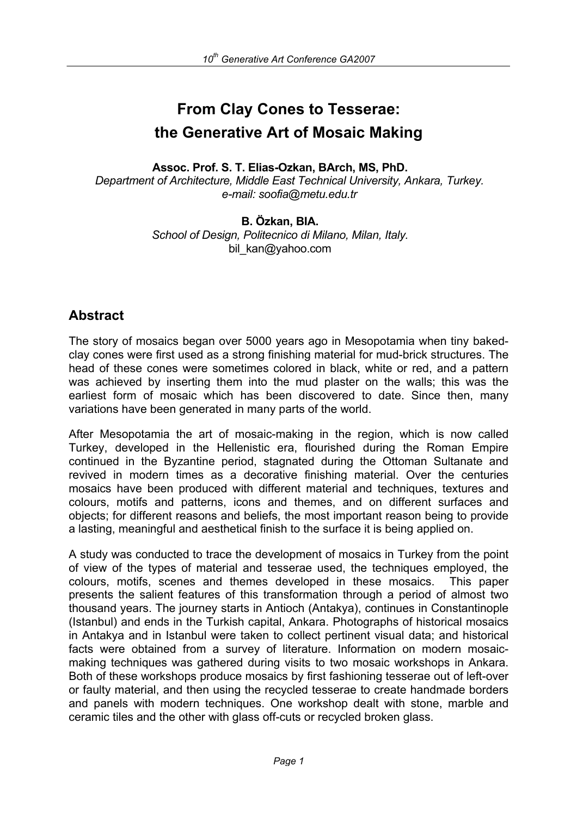# **From Clay Cones to Tesserae: the Generative Art of Mosaic Making**

**Assoc. Prof. S. T. Elias-Ozkan, BArch, MS, PhD.**  *Department of Architecture, Middle East Technical University, Ankara, Turkey. e-mail: soofia@metu.edu.tr* 

> **B. Özkan, BIA.**  *School of Design, Politecnico di Milano, Milan, Italy.*  bil kan@yahoo.com

## **Abstract**

The story of mosaics began over 5000 years ago in Mesopotamia when tiny bakedclay cones were first used as a strong finishing material for mud-brick structures. The head of these cones were sometimes colored in black, white or red, and a pattern was achieved by inserting them into the mud plaster on the walls; this was the earliest form of mosaic which has been discovered to date. Since then, many variations have been generated in many parts of the world.

After Mesopotamia the art of mosaic-making in the region, which is now called Turkey, developed in the Hellenistic era, flourished during the Roman Empire continued in the Byzantine period, stagnated during the Ottoman Sultanate and revived in modern times as a decorative finishing material. Over the centuries mosaics have been produced with different material and techniques, textures and colours, motifs and patterns, icons and themes, and on different surfaces and objects; for different reasons and beliefs, the most important reason being to provide a lasting, meaningful and aesthetical finish to the surface it is being applied on.

A study was conducted to trace the development of mosaics in Turkey from the point of view of the types of material and tesserae used, the techniques employed, the colours, motifs, scenes and themes developed in these mosaics. This paper presents the salient features of this transformation through a period of almost two thousand years. The journey starts in Antioch (Antakya), continues in Constantinople (Istanbul) and ends in the Turkish capital, Ankara. Photographs of historical mosaics in Antakya and in Istanbul were taken to collect pertinent visual data; and historical facts were obtained from a survey of literature. Information on modern mosaicmaking techniques was gathered during visits to two mosaic workshops in Ankara. Both of these workshops produce mosaics by first fashioning tesserae out of left-over or faulty material, and then using the recycled tesserae to create handmade borders and panels with modern techniques. One workshop dealt with stone, marble and ceramic tiles and the other with glass off-cuts or recycled broken glass.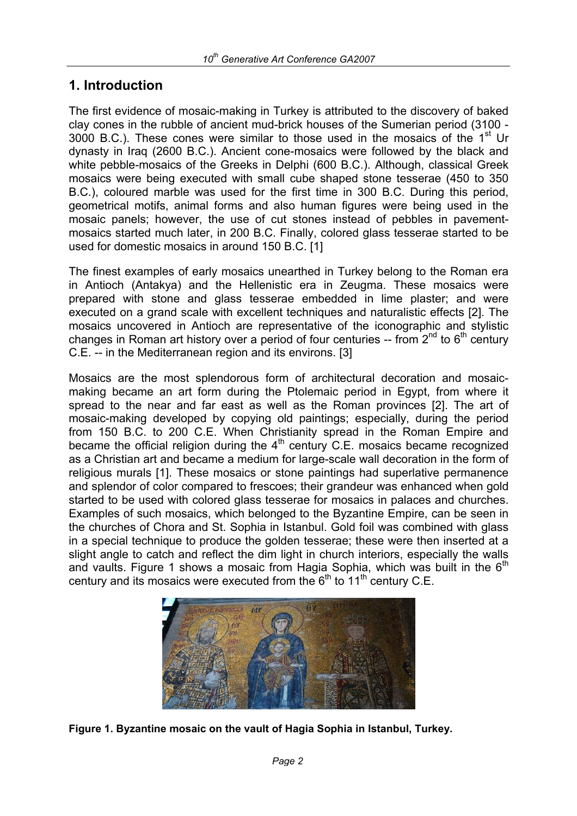## **1. Introduction**

The first evidence of mosaic-making in Turkey is attributed to the discovery of baked clay cones in the rubble of ancient mud-brick houses of the Sumerian period (3100 - 3000 B.C.). These cones were similar to those used in the mosaics of the  $1<sup>st</sup>$  Ur dynasty in Iraq (2600 B.C.). Ancient cone-mosaics were followed by the black and white pebble-mosaics of the Greeks in Delphi (600 B.C.). Although, classical Greek mosaics were being executed with small cube shaped stone tesserae (450 to 350 B.C.), coloured marble was used for the first time in 300 B.C. During this period, geometrical motifs, animal forms and also human figures were being used in the mosaic panels; however, the use of cut stones instead of pebbles in pavementmosaics started much later, in 200 B.C. Finally, colored glass tesserae started to be used for domestic mosaics in around 150 B.C. [1]

The finest examples of early mosaics unearthed in Turkey belong to the Roman era in Antioch (Antakya) and the Hellenistic era in Zeugma. These mosaics were prepared with stone and glass tesserae embedded in lime plaster; and were executed on a grand scale with excellent techniques and naturalistic effects [2]. The mosaics uncovered in Antioch are representative of the iconographic and stylistic changes in Roman art history over a period of four centuries -- from  $2^{nd}$  to  $6^{th}$  century C.E. -- in the Mediterranean region and its environs. [3]

Mosaics are the most splendorous form of architectural decoration and mosaicmaking became an art form during the Ptolemaic period in Egypt, from where it spread to the near and far east as well as the Roman provinces [2]. The art of mosaic-making developed by copying old paintings; especially, during the period from 150 B.C. to 200 C.E. When Christianity spread in the Roman Empire and became the official religion during the  $4<sup>th</sup>$  century C.E. mosaics became recognized as a Christian art and became a medium for large-scale wall decoration in the form of religious murals [1]. These mosaics or stone paintings had superlative permanence and splendor of color compared to frescoes; their grandeur was enhanced when gold started to be used with colored glass tesserae for mosaics in palaces and churches. Examples of such mosaics, which belonged to the Byzantine Empire, can be seen in the churches of Chora and St. Sophia in Istanbul. Gold foil was combined with glass in a special technique to produce the golden tesserae; these were then inserted at a slight angle to catch and reflect the dim light in church interiors, especially the walls and vaults. Figure 1 shows a mosaic from Hagia Sophia, which was built in the  $6<sup>th</sup>$ century and its mosaics were executed from the  $6<sup>th</sup>$  to  $11<sup>th</sup>$  century C.E.



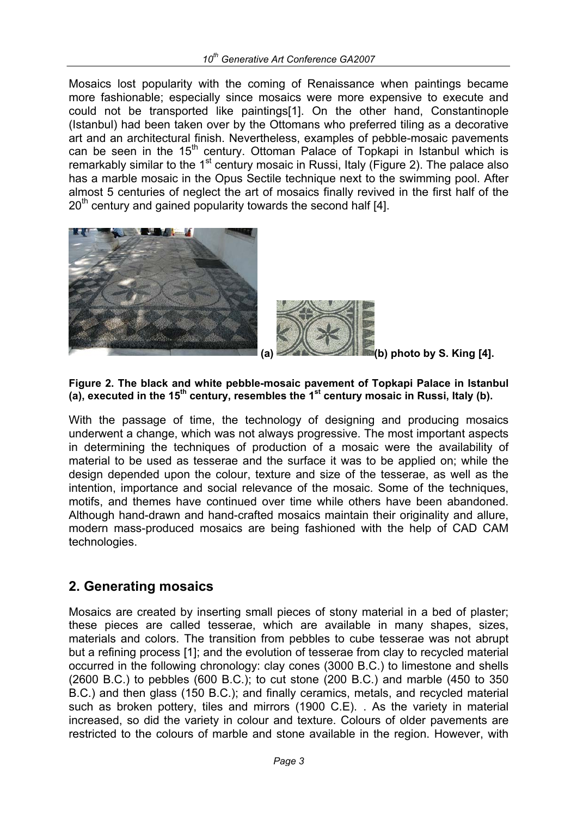Mosaics lost popularity with the coming of Renaissance when paintings became more fashionable; especially since mosaics were more expensive to execute and could not be transported like paintings[1]. On the other hand, Constantinople (Istanbul) had been taken over by the Ottomans who preferred tiling as a decorative art and an architectural finish. Nevertheless, examples of pebble-mosaic pavements can be seen in the  $15<sup>th</sup>$  century. Ottoman Palace of Topkapi in Istanbul which is remarkably similar to the 1<sup>st</sup> century mosaic in Russi, Italy (Figure 2). The palace also has a marble mosaic in the Opus Sectile technique next to the swimming pool. After almost 5 centuries of neglect the art of mosaics finally revived in the first half of the  $20<sup>th</sup>$  century and gained popularity towards the second half [4].





**(a) (b) photo by S. King [4].**

#### **Figure 2. The black and white pebble-mosaic pavement of Topkapi Palace in Istanbul**  (a), executed in the 15<sup>th</sup> century, resembles the 1<sup>st</sup> century mosaic in Russi, Italy (b).

With the passage of time, the technology of designing and producing mosaics underwent a change, which was not always progressive. The most important aspects in determining the techniques of production of a mosaic were the availability of material to be used as tesserae and the surface it was to be applied on; while the design depended upon the colour, texture and size of the tesserae, as well as the intention, importance and social relevance of the mosaic. Some of the techniques, motifs, and themes have continued over time while others have been abandoned. Although hand-drawn and hand-crafted mosaics maintain their originality and allure, modern mass-produced mosaics are being fashioned with the help of CAD CAM technologies.

## **2. Generating mosaics**

Mosaics are created by inserting small pieces of stony material in a bed of plaster; these pieces are called tesserae, which are available in many shapes, sizes, materials and colors. The transition from pebbles to cube tesserae was not abrupt but a refining process [1]; and the evolution of tesserae from clay to recycled material occurred in the following chronology: clay cones (3000 B.C.) to limestone and shells (2600 B.C.) to pebbles (600 B.C.); to cut stone (200 B.C.) and marble (450 to 350 B.C.) and then glass (150 B.C.); and finally ceramics, metals, and recycled material such as broken pottery, tiles and mirrors (1900 C.E). . As the variety in material increased, so did the variety in colour and texture. Colours of older pavements are restricted to the colours of marble and stone available in the region. However, with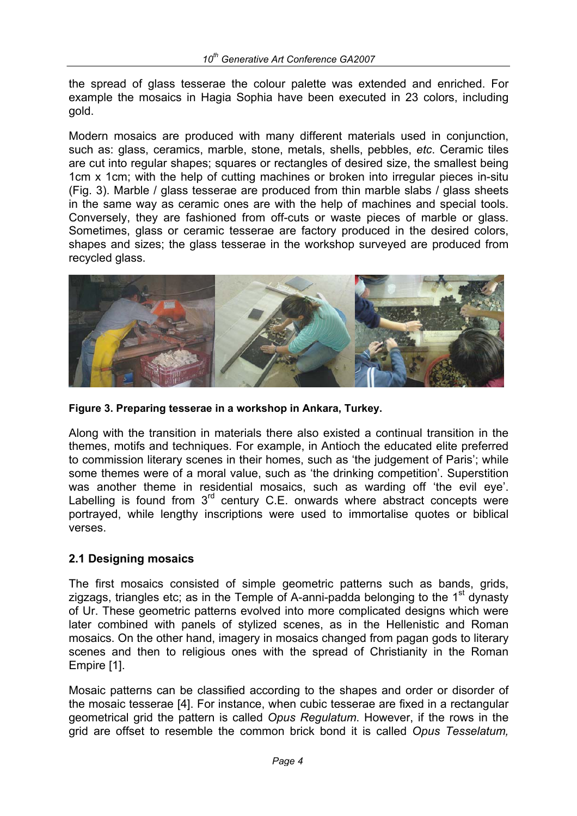the spread of glass tesserae the colour palette was extended and enriched. For example the mosaics in Hagia Sophia have been executed in 23 colors, including gold.

Modern mosaics are produced with many different materials used in conjunction, such as: glass, ceramics, marble, stone, metals, shells, pebbles, *etc*. Ceramic tiles are cut into regular shapes; squares or rectangles of desired size, the smallest being 1cm x 1cm; with the help of cutting machines or broken into irregular pieces in-situ (Fig. 3). Marble / glass tesserae are produced from thin marble slabs / glass sheets in the same way as ceramic ones are with the help of machines and special tools. Conversely, they are fashioned from off-cuts or waste pieces of marble or glass. Sometimes, glass or ceramic tesserae are factory produced in the desired colors, shapes and sizes; the glass tesserae in the workshop surveyed are produced from recycled glass.



**Figure 3. Preparing tesserae in a workshop in Ankara, Turkey.**

Along with the transition in materials there also existed a continual transition in the themes, motifs and techniques. For example, in Antioch the educated elite preferred to commission literary scenes in their homes, such as 'the judgement of Paris'; while some themes were of a moral value, such as 'the drinking competition'. Superstition was another theme in residential mosaics, such as warding off 'the evil eye'. Labelling is found from  $3<sup>rd</sup>$  century C.E. onwards where abstract concepts were portrayed, while lengthy inscriptions were used to immortalise quotes or biblical verses.

### **2.1 Designing mosaics**

The first mosaics consisted of simple geometric patterns such as bands, grids, zigzags, triangles etc; as in the Temple of A-anni-padda belonging to the  $1<sup>st</sup>$  dynasty of Ur. These geometric patterns evolved into more complicated designs which were later combined with panels of stylized scenes, as in the Hellenistic and Roman mosaics. On the other hand, imagery in mosaics changed from pagan gods to literary scenes and then to religious ones with the spread of Christianity in the Roman Empire [1].

Mosaic patterns can be classified according to the shapes and order or disorder of the mosaic tesserae [4]. For instance, when cubic tesserae are fixed in a rectangular geometrical grid the pattern is called *Opus Regulatum*. However, if the rows in the grid are offset to resemble the common brick bond it is called *Opus Tesselatum,*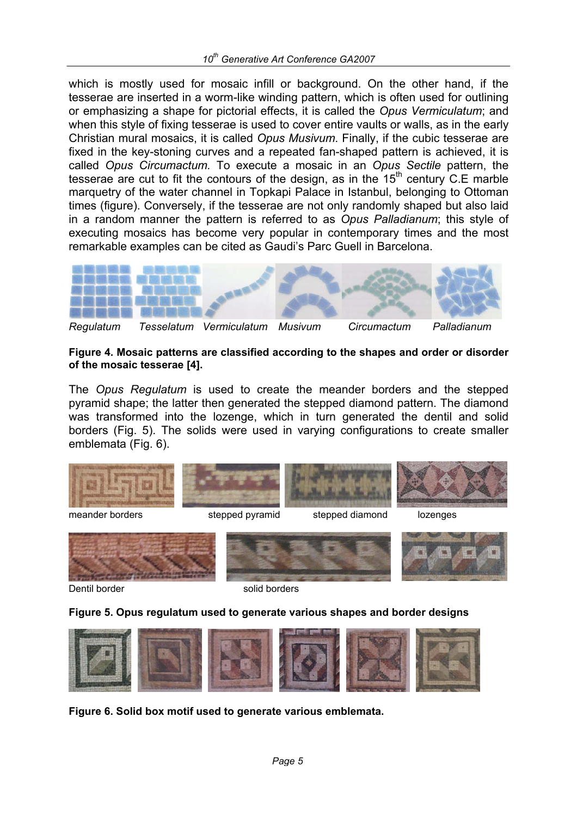which is mostly used for mosaic infill or background. On the other hand, if the tesserae are inserted in a worm-like winding pattern, which is often used for outlining or emphasizing a shape for pictorial effects, it is called the *Opus Vermiculatum*; and when this style of fixing tesserae is used to cover entire vaults or walls, as in the early Christian mural mosaics, it is called *Opus Musivum*. Finally, if the cubic tesserae are fixed in the key-stoning curves and a repeated fan-shaped pattern is achieved, it is called *Opus Circumactum.* To execute a mosaic in an *Opus Sectile* pattern, the tesserae are cut to fit the contours of the design, as in the  $15<sup>th</sup>$  century C.E marble marquetry of the water channel in Topkapi Palace in Istanbul, belonging to Ottoman times (figure). Conversely, if the tesserae are not only randomly shaped but also laid in a random manner the pattern is referred to as *Opus Palladianum*; this style of executing mosaics has become very popular in contemporary times and the most remarkable examples can be cited as Gaudi's Parc Guell in Barcelona.



#### **Figure 4. Mosaic patterns are classified according to the shapes and order or disorder of the mosaic tesserae [4].**

The *Opus Regulatum* is used to create the meander borders and the stepped pyramid shape; the latter then generated the stepped diamond pattern. The diamond was transformed into the lozenge, which in turn generated the dentil and solid borders (Fig. 5). The solids were used in varying configurations to create smaller emblemata (Fig. 6).





Dentil border solid borders

#### **Figure 5. Opus regulatum used to generate various shapes and border designs**



**Figure 6. Solid box motif used to generate various emblemata.**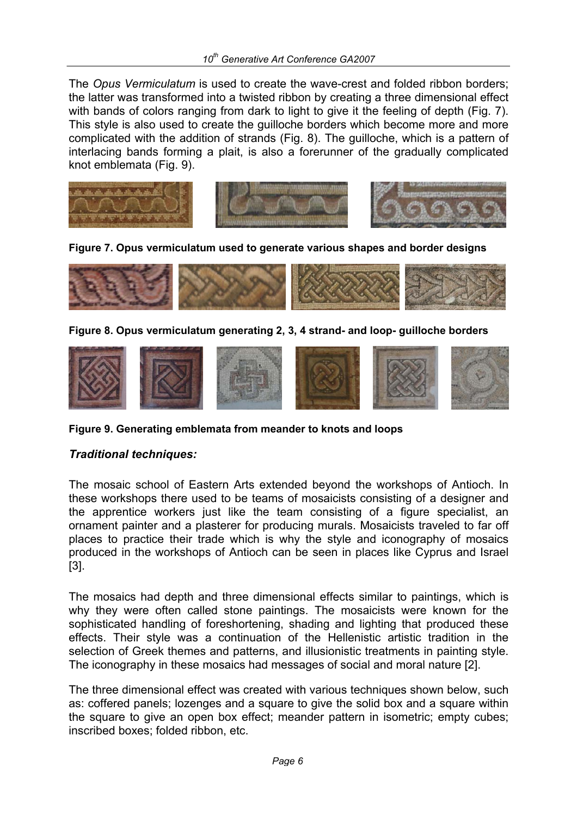The *Opus Vermiculatum* is used to create the wave-crest and folded ribbon borders; the latter was transformed into a twisted ribbon by creating a three dimensional effect with bands of colors ranging from dark to light to give it the feeling of depth (Fig. 7). This style is also used to create the guilloche borders which become more and more complicated with the addition of strands (Fig. 8). The guilloche, which is a pattern of interlacing bands forming a plait, is also a forerunner of the gradually complicated knot emblemata (Fig. 9).



**Figure 7. Opus vermiculatum used to generate various shapes and border designs** 



**Figure 8. Opus vermiculatum generating 2, 3, 4 strand- and loop- guilloche borders** 



**Figure 9. Generating emblemata from meander to knots and loops** 

### *Traditional techniques:*

The mosaic school of Eastern Arts extended beyond the workshops of Antioch. In these workshops there used to be teams of mosaicists consisting of a designer and the apprentice workers just like the team consisting of a figure specialist, an ornament painter and a plasterer for producing murals. Mosaicists traveled to far off places to practice their trade which is why the style and iconography of mosaics produced in the workshops of Antioch can be seen in places like Cyprus and Israel [3].

The mosaics had depth and three dimensional effects similar to paintings, which is why they were often called stone paintings. The mosaicists were known for the sophisticated handling of foreshortening, shading and lighting that produced these effects. Their style was a continuation of the Hellenistic artistic tradition in the selection of Greek themes and patterns, and illusionistic treatments in painting style. The iconography in these mosaics had messages of social and moral nature [2].

The three dimensional effect was created with various techniques shown below, such as: coffered panels; lozenges and a square to give the solid box and a square within the square to give an open box effect; meander pattern in isometric; empty cubes; inscribed boxes; folded ribbon, etc.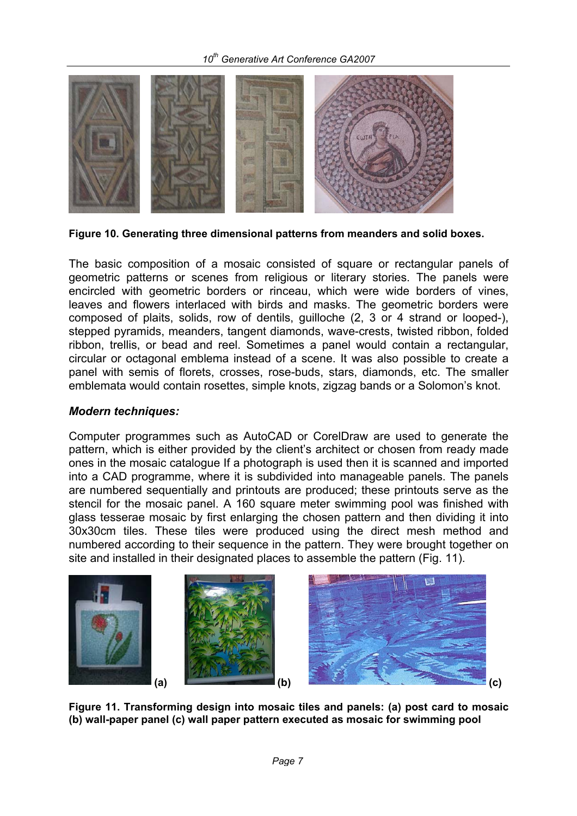

**Figure 10. Generating three dimensional patterns from meanders and solid boxes.** 

The basic composition of a mosaic consisted of square or rectangular panels of geometric patterns or scenes from religious or literary stories. The panels were encircled with geometric borders or rinceau, which were wide borders of vines, leaves and flowers interlaced with birds and masks. The geometric borders were composed of plaits, solids, row of dentils, guilloche (2, 3 or 4 strand or looped-), stepped pyramids, meanders, tangent diamonds, wave-crests, twisted ribbon, folded ribbon, trellis, or bead and reel. Sometimes a panel would contain a rectangular, circular or octagonal emblema instead of a scene. It was also possible to create a panel with semis of florets, crosses, rose-buds, stars, diamonds, etc. The smaller emblemata would contain rosettes, simple knots, zigzag bands or a Solomon's knot.

#### *Modern techniques:*

Computer programmes such as AutoCAD or CorelDraw are used to generate the pattern, which is either provided by the client's architect or chosen from ready made ones in the mosaic catalogue If a photograph is used then it is scanned and imported into a CAD programme, where it is subdivided into manageable panels. The panels are numbered sequentially and printouts are produced; these printouts serve as the stencil for the mosaic panel. A 160 square meter swimming pool was finished with glass tesserae mosaic by first enlarging the chosen pattern and then dividing it into 30x30cm tiles. These tiles were produced using the direct mesh method and numbered according to their sequence in the pattern. They were brought together on site and installed in their designated places to assemble the pattern (Fig. 11).



**Figure 11. Transforming design into mosaic tiles and panels: (a) post card to mosaic (b) wall-paper panel (c) wall paper pattern executed as mosaic for swimming pool**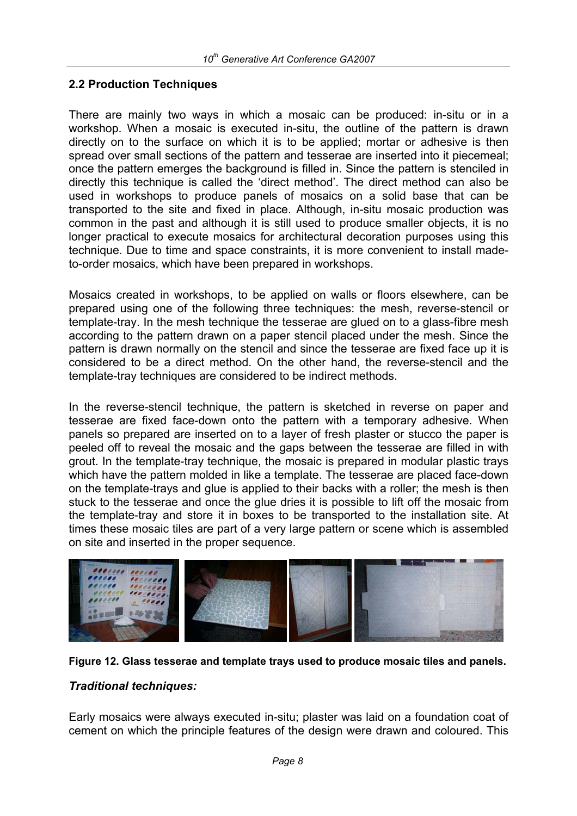### **2.2 Production Techniques**

There are mainly two ways in which a mosaic can be produced: in-situ or in a workshop. When a mosaic is executed in-situ, the outline of the pattern is drawn directly on to the surface on which it is to be applied; mortar or adhesive is then spread over small sections of the pattern and tesserae are inserted into it piecemeal; once the pattern emerges the background is filled in. Since the pattern is stenciled in directly this technique is called the 'direct method'. The direct method can also be used in workshops to produce panels of mosaics on a solid base that can be transported to the site and fixed in place. Although, in-situ mosaic production was common in the past and although it is still used to produce smaller objects, it is no longer practical to execute mosaics for architectural decoration purposes using this technique. Due to time and space constraints, it is more convenient to install madeto-order mosaics, which have been prepared in workshops.

Mosaics created in workshops, to be applied on walls or floors elsewhere, can be prepared using one of the following three techniques: the mesh, reverse-stencil or template-tray. In the mesh technique the tesserae are glued on to a glass-fibre mesh according to the pattern drawn on a paper stencil placed under the mesh. Since the pattern is drawn normally on the stencil and since the tesserae are fixed face up it is considered to be a direct method. On the other hand, the reverse-stencil and the template-tray techniques are considered to be indirect methods.

In the reverse-stencil technique, the pattern is sketched in reverse on paper and tesserae are fixed face-down onto the pattern with a temporary adhesive. When panels so prepared are inserted on to a layer of fresh plaster or stucco the paper is peeled off to reveal the mosaic and the gaps between the tesserae are filled in with grout. In the template-tray technique, the mosaic is prepared in modular plastic trays which have the pattern molded in like a template. The tesserae are placed face-down on the template-trays and glue is applied to their backs with a roller; the mesh is then stuck to the tesserae and once the glue dries it is possible to lift off the mosaic from the template-tray and store it in boxes to be transported to the installation site. At times these mosaic tiles are part of a very large pattern or scene which is assembled on site and inserted in the proper sequence.





### *Traditional techniques:*

Early mosaics were always executed in-situ; plaster was laid on a foundation coat of cement on which the principle features of the design were drawn and coloured. This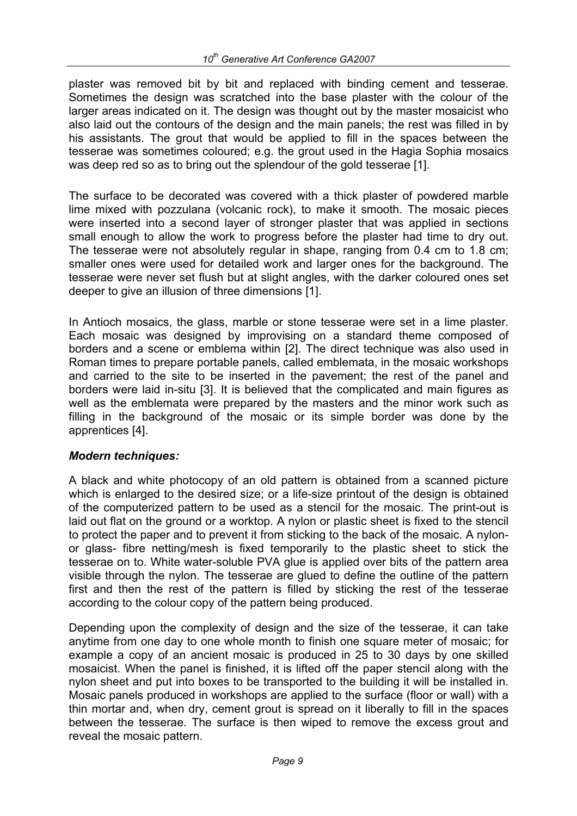plaster was removed bit by bit and replaced with binding cement and tesserae. Sometimes the design was scratched into the base plaster with the colour of the larger areas indicated on it. The design was thought out by the master mosaicist who also laid out the contours of the design and the main panels; the rest was filled in by his assistants. The grout that would be applied to fill in the spaces between the tesserae was sometimes coloured; e.g. the grout used in the Hagia Sophia mosaics was deep red so as to bring out the splendour of the gold tesserae [1].

The surface to be decorated was covered with a thick plaster of powdered marble lime mixed with pozzulana (volcanic rock), to make it smooth. The mosaic pieces were inserted into a second layer of stronger plaster that was applied in sections small enough to allow the work to progress before the plaster had time to dry out. The tesserae were not absolutely regular in shape, ranging from 0.4 cm to 1.8 cm; smaller ones were used for detailed work and larger ones for the background. The tesserae were never set flush but at slight angles, with the darker coloured ones set deeper to give an illusion of three dimensions [1].

In Antioch mosaics, the glass, marble or stone tesserae were set in a lime plaster. Each mosaic was designed by improvising on a standard theme composed of borders and a scene or emblema within [2]. The direct technique was also used in Roman times to prepare portable panels, called emblemata, in the mosaic workshops and carried to the site to be inserted in the pavement; the rest of the panel and borders were laid in-situ [3]. It is believed that the complicated and main figures as well as the emblemata were prepared by the masters and the minor work such as filling in the background of the mosaic or its simple border was done by the apprentices [4].

### *Modern techniques:*

A black and white photocopy of an old pattern is obtained from a scanned picture which is enlarged to the desired size; or a life-size printout of the design is obtained of the computerized pattern to be used as a stencil for the mosaic. The print-out is laid out flat on the ground or a worktop. A nylon or plastic sheet is fixed to the stencil to protect the paper and to prevent it from sticking to the back of the mosaic. A nylonor glass- fibre netting/mesh is fixed temporarily to the plastic sheet to stick the tesserae on to. White water-soluble PVA glue is applied over bits of the pattern area visible through the nylon. The tesserae are glued to define the outline of the pattern first and then the rest of the pattern is filled by sticking the rest of the tesserae according to the colour copy of the pattern being produced.

Depending upon the complexity of design and the size of the tesserae, it can take anytime from one day to one whole month to finish one square meter of mosaic; for example a copy of an ancient mosaic is produced in 25 to 30 days by one skilled mosaicist. When the panel is finished, it is lifted off the paper stencil along with the nylon sheet and put into boxes to be transported to the building it will be installed in. Mosaic panels produced in workshops are applied to the surface (floor or wall) with a thin mortar and, when dry, cement grout is spread on it liberally to fill in the spaces between the tesserae. The surface is then wiped to remove the excess grout and reveal the mosaic pattern.